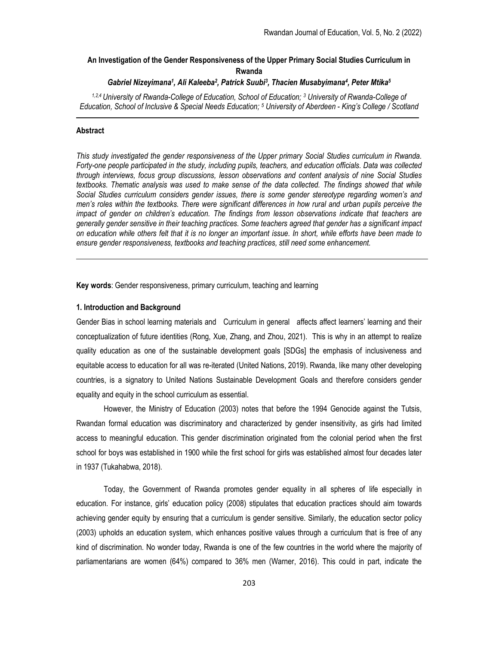# An Investigation of the Gender Responsiveness of the Upper Primary Social Studies Curriculum in Rwanda

# Gabriel Nizeyimana<sup>1</sup>, Ali Kaleeba<sup>2</sup>, Patrick Suubi<sup>3</sup>, Thacien Musabyimana<sup>4</sup>, Peter Mtika<sup>5</sup>

<sup>1,2,4</sup> University of Rwanda-College of Education, School of Education; <sup>3</sup> University of Rwanda-College of Education, School of Inclusive & Special Needs Education; <sup>5</sup> University of Aberdeen - King's College / Scotland

# Abstract

This study investigated the gender responsiveness of the Upper primary Social Studies curriculum in Rwanda. Forty-one people participated in the study, including pupils, teachers, and education officials. Data was collected through interviews, focus group discussions, lesson observations and content analysis of nine Social Studies textbooks. Thematic analysis was used to make sense of the data collected. The findings showed that while Social Studies curriculum considers gender issues, there is some gender stereotype regarding women's and men's roles within the textbooks. There were significant differences in how rural and urban pupils perceive the impact of gender on children's education. The findings from lesson observations indicate that teachers are generally gender sensitive in their teaching practices. Some teachers agreed that gender has a significant impact on education while others felt that it is no longer an important issue. In short, while efforts have been made to ensure gender responsiveness, textbooks and teaching practices, still need some enhancement.

Key words: Gender responsiveness, primary curriculum, teaching and learning

### 1. Introduction and Background

Gender Bias in school learning materials and Curriculum in general affects affect learners' learning and their conceptualization of future identities (Rong, Xue, Zhang, and Zhou, 2021). This is why in an attempt to realize quality education as one of the sustainable development goals [SDGs] the emphasis of inclusiveness and equitable access to education for all was re-iterated (United Nations, 2019). Rwanda, like many other developing countries, is a signatory to United Nations Sustainable Development Goals and therefore considers gender equality and equity in the school curriculum as essential.

However, the Ministry of Education (2003) notes that before the 1994 Genocide against the Tutsis, Rwandan formal education was discriminatory and characterized by gender insensitivity, as girls had limited access to meaningful education. This gender discrimination originated from the colonial period when the first school for boys was established in 1900 while the first school for girls was established almost four decades later in 1937 (Tukahabwa, 2018).

Today, the Government of Rwanda promotes gender equality in all spheres of life especially in education. For instance, girls' education policy (2008) stipulates that education practices should aim towards achieving gender equity by ensuring that a curriculum is gender sensitive. Similarly, the education sector policy (2003) upholds an education system, which enhances positive values through a curriculum that is free of any kind of discrimination. No wonder today, Rwanda is one of the few countries in the world where the majority of parliamentarians are women (64%) compared to 36% men (Warner, 2016). This could in part, indicate the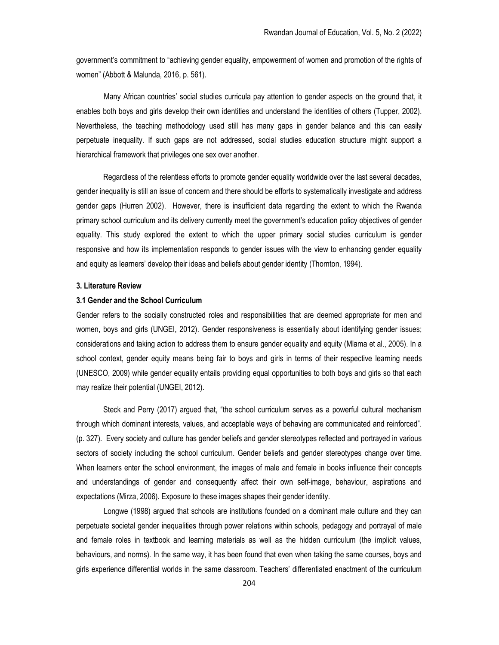government's commitment to "achieving gender equality, empowerment of women and promotion of the rights of women" (Abbott & Malunda, 2016, p. 561).

Many African countries' social studies curricula pay attention to gender aspects on the ground that, it enables both boys and girls develop their own identities and understand the identities of others (Tupper, 2002). Nevertheless, the teaching methodology used still has many gaps in gender balance and this can easily perpetuate inequality. If such gaps are not addressed, social studies education structure might support a hierarchical framework that privileges one sex over another.

 Regardless of the relentless efforts to promote gender equality worldwide over the last several decades, gender inequality is still an issue of concern and there should be efforts to systematically investigate and address gender gaps (Hurren 2002). However, there is insufficient data regarding the extent to which the Rwanda primary school curriculum and its delivery currently meet the government's education policy objectives of gender equality. This study explored the extent to which the upper primary social studies curriculum is gender responsive and how its implementation responds to gender issues with the view to enhancing gender equality and equity as learners' develop their ideas and beliefs about gender identity (Thornton, 1994).

# 3. Literature Review

### 3.1 Gender and the School Curriculum

Gender refers to the socially constructed roles and responsibilities that are deemed appropriate for men and women, boys and girls (UNGEI, 2012). Gender responsiveness is essentially about identifying gender issues; considerations and taking action to address them to ensure gender equality and equity (Mlama et al., 2005). In a school context, gender equity means being fair to boys and girls in terms of their respective learning needs (UNESCO, 2009) while gender equality entails providing equal opportunities to both boys and girls so that each may realize their potential (UNGEI, 2012).

 Steck and Perry (2017) argued that, "the school curriculum serves as a powerful cultural mechanism through which dominant interests, values, and acceptable ways of behaving are communicated and reinforced". (p. 327). Every society and culture has gender beliefs and gender stereotypes reflected and portrayed in various sectors of society including the school curriculum. Gender beliefs and gender stereotypes change over time. When learners enter the school environment, the images of male and female in books influence their concepts and understandings of gender and consequently affect their own self-image, behaviour, aspirations and expectations (Mirza, 2006). Exposure to these images shapes their gender identity.

Longwe (1998) argued that schools are institutions founded on a dominant male culture and they can perpetuate societal gender inequalities through power relations within schools, pedagogy and portrayal of male and female roles in textbook and learning materials as well as the hidden curriculum (the implicit values, behaviours, and norms). In the same way, it has been found that even when taking the same courses, boys and girls experience differential worlds in the same classroom. Teachers' differentiated enactment of the curriculum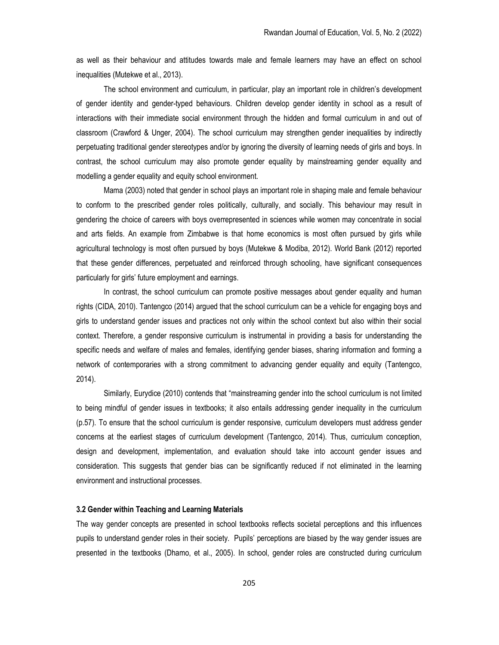as well as their behaviour and attitudes towards male and female learners may have an effect on school inequalities (Mutekwe et al., 2013).

The school environment and curriculum, in particular, play an important role in children's development of gender identity and gender-typed behaviours. Children develop gender identity in school as a result of interactions with their immediate social environment through the hidden and formal curriculum in and out of classroom (Crawford & Unger, 2004). The school curriculum may strengthen gender inequalities by indirectly perpetuating traditional gender stereotypes and/or by ignoring the diversity of learning needs of girls and boys. In contrast, the school curriculum may also promote gender equality by mainstreaming gender equality and modelling a gender equality and equity school environment.

Mama (2003) noted that gender in school plays an important role in shaping male and female behaviour to conform to the prescribed gender roles politically, culturally, and socially. This behaviour may result in gendering the choice of careers with boys overrepresented in sciences while women may concentrate in social and arts fields. An example from Zimbabwe is that home economics is most often pursued by girls while agricultural technology is most often pursued by boys (Mutekwe & Modiba, 2012). World Bank (2012) reported that these gender differences, perpetuated and reinforced through schooling, have significant consequences particularly for girls' future employment and earnings.

In contrast, the school curriculum can promote positive messages about gender equality and human rights (CIDA, 2010). Tantengco (2014) argued that the school curriculum can be a vehicle for engaging boys and girls to understand gender issues and practices not only within the school context but also within their social context. Therefore, a gender responsive curriculum is instrumental in providing a basis for understanding the specific needs and welfare of males and females, identifying gender biases, sharing information and forming a network of contemporaries with a strong commitment to advancing gender equality and equity (Tantengco, 2014).

Similarly, Eurydice (2010) contends that "mainstreaming gender into the school curriculum is not limited to being mindful of gender issues in textbooks; it also entails addressing gender inequality in the curriculum (p.57). To ensure that the school curriculum is gender responsive, curriculum developers must address gender concerns at the earliest stages of curriculum development (Tantengco, 2014). Thus, curriculum conception, design and development, implementation, and evaluation should take into account gender issues and consideration. This suggests that gender bias can be significantly reduced if not eliminated in the learning environment and instructional processes.

# 3.2 Gender within Teaching and Learning Materials

The way gender concepts are presented in school textbooks reflects societal perceptions and this influences pupils to understand gender roles in their society. Pupils' perceptions are biased by the way gender issues are presented in the textbooks (Dhamo, et al., 2005). In school, gender roles are constructed during curriculum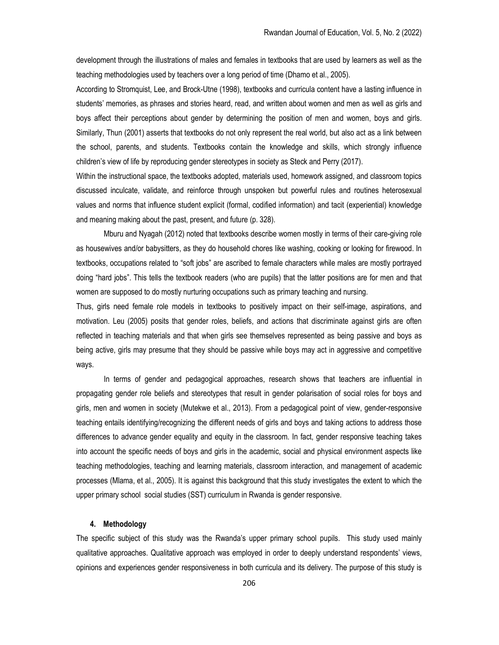development through the illustrations of males and females in textbooks that are used by learners as well as the teaching methodologies used by teachers over a long period of time (Dhamo et al., 2005).

According to Stromquist, Lee, and Brock-Utne (1998), textbooks and curricula content have a lasting influence in students' memories, as phrases and stories heard, read, and written about women and men as well as girls and boys affect their perceptions about gender by determining the position of men and women, boys and girls. Similarly, Thun (2001) asserts that textbooks do not only represent the real world, but also act as a link between the school, parents, and students. Textbooks contain the knowledge and skills, which strongly influence children's view of life by reproducing gender stereotypes in society as Steck and Perry (2017).

Within the instructional space, the textbooks adopted, materials used, homework assigned, and classroom topics discussed inculcate, validate, and reinforce through unspoken but powerful rules and routines heterosexual values and norms that influence student explicit (formal, codified information) and tacit (experiential) knowledge and meaning making about the past, present, and future (p. 328).

Mburu and Nyagah (2012) noted that textbooks describe women mostly in terms of their care-giving role as housewives and/or babysitters, as they do household chores like washing, cooking or looking for firewood. In textbooks, occupations related to "soft jobs" are ascribed to female characters while males are mostly portrayed doing "hard jobs". This tells the textbook readers (who are pupils) that the latter positions are for men and that women are supposed to do mostly nurturing occupations such as primary teaching and nursing.

Thus, girls need female role models in textbooks to positively impact on their self-image, aspirations, and motivation. Leu (2005) posits that gender roles, beliefs, and actions that discriminate against girls are often reflected in teaching materials and that when girls see themselves represented as being passive and boys as being active, girls may presume that they should be passive while boys may act in aggressive and competitive ways.

In terms of gender and pedagogical approaches, research shows that teachers are influential in propagating gender role beliefs and stereotypes that result in gender polarisation of social roles for boys and girls, men and women in society (Mutekwe et al., 2013). From a pedagogical point of view, gender-responsive teaching entails identifying/recognizing the different needs of girls and boys and taking actions to address those differences to advance gender equality and equity in the classroom. In fact, gender responsive teaching takes into account the specific needs of boys and girls in the academic, social and physical environment aspects like teaching methodologies, teaching and learning materials, classroom interaction, and management of academic processes (Mlama, et al., 2005). It is against this background that this study investigates the extent to which the upper primary school social studies (SST) curriculum in Rwanda is gender responsive.

## 4. Methodology

The specific subject of this study was the Rwanda's upper primary school pupils. This study used mainly qualitative approaches. Qualitative approach was employed in order to deeply understand respondents' views, opinions and experiences gender responsiveness in both curricula and its delivery. The purpose of this study is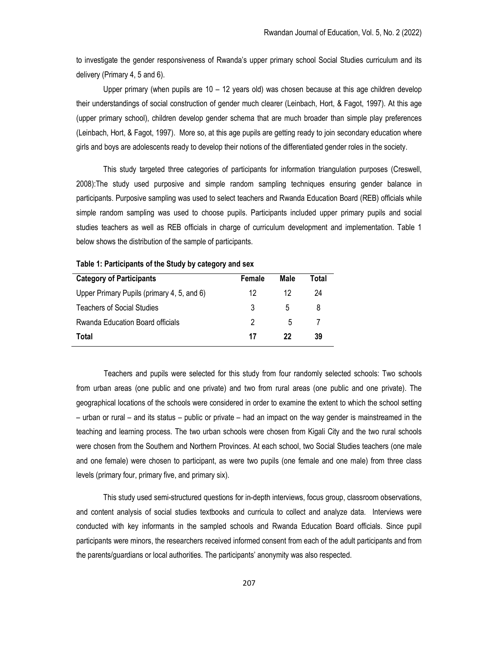to investigate the gender responsiveness of Rwanda's upper primary school Social Studies curriculum and its delivery (Primary 4, 5 and 6).

 Upper primary (when pupils are 10 – 12 years old) was chosen because at this age children develop their understandings of social construction of gender much clearer (Leinbach, Hort, & Fagot, 1997). At this age (upper primary school), children develop gender schema that are much broader than simple play preferences (Leinbach, Hort, & Fagot, 1997). More so, at this age pupils are getting ready to join secondary education where girls and boys are adolescents ready to develop their notions of the differentiated gender roles in the society.

This study targeted three categories of participants for information triangulation purposes (Creswell, 2008):The study used purposive and simple random sampling techniques ensuring gender balance in participants. Purposive sampling was used to select teachers and Rwanda Education Board (REB) officials while simple random sampling was used to choose pupils. Participants included upper primary pupils and social studies teachers as well as REB officials in charge of curriculum development and implementation. Table 1 below shows the distribution of the sample of participants.

| <b>Category of Participants</b>            | Female | Male | Total |
|--------------------------------------------|--------|------|-------|
| Upper Primary Pupils (primary 4, 5, and 6) | 12     | 12   | 24    |
| Teachers of Social Studies                 | 3      | 5    | 8     |
| Rwanda Education Board officials           | 2      | 5    |       |
| Total                                      | 17     | 22   | 39    |

Table 1: Participants of the Study by category and sex

Teachers and pupils were selected for this study from four randomly selected schools: Two schools from urban areas (one public and one private) and two from rural areas (one public and one private). The geographical locations of the schools were considered in order to examine the extent to which the school setting – urban or rural – and its status – public or private – had an impact on the way gender is mainstreamed in the teaching and learning process. The two urban schools were chosen from Kigali City and the two rural schools were chosen from the Southern and Northern Provinces. At each school, two Social Studies teachers (one male and one female) were chosen to participant, as were two pupils (one female and one male) from three class levels (primary four, primary five, and primary six).

This study used semi-structured questions for in-depth interviews, focus group, classroom observations, and content analysis of social studies textbooks and curricula to collect and analyze data. Interviews were conducted with key informants in the sampled schools and Rwanda Education Board officials. Since pupil participants were minors, the researchers received informed consent from each of the adult participants and from the parents/guardians or local authorities. The participants' anonymity was also respected.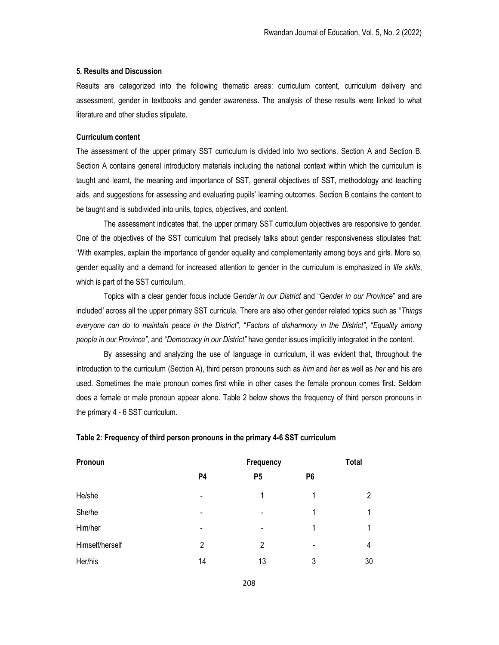## 5. Results and Discussion

Results are categorized into the following thematic areas: curriculum content, curriculum delivery and assessment, gender in textbooks and gender awareness. The analysis of these results were linked to what literature and other studies stipulate.

#### Curriculum content

The assessment of the upper primary SST curriculum is divided into two sections. Section A and Section B. Section A contains general introductory materials including the national context within which the curriculum is taught and learnt, the meaning and importance of SST, general objectives of SST, methodology and teaching aids, and suggestions for assessing and evaluating pupils' learning outcomes. Section B contains the content to be taught and is subdivided into units, topics, objectives, and content.

The assessment indicates that, the upper primary SST curriculum objectives are responsive to gender. One of the objectives of the SST curriculum that precisely talks about gender responsiveness stipulates that: 'With examples, explain the importance of gender equality and complementarity among boys and girls. More so, gender equality and a demand for increased attention to gender in the curriculum is emphasized in life skills, which is part of the SST curriculum.

Topics with a clear gender focus include Gender in our District and "Gender in our Province" and are included' across all the upper primary SST curricula. There are also other gender related topics such as "Things everyone can do to maintain peace in the District", "Factors of disharmony in the District", "Equality among people in our Province", and "Democracy in our District" have gender issues implicitly integrated in the content.

By assessing and analyzing the use of language in curriculum, it was evident that, throughout the introduction to the curriculum (Section A), third person pronouns such as him and her as well as her and his are used. Sometimes the male pronoun comes first while in other cases the female pronoun comes first. Seldom does a female or male pronoun appear alone. Table 2 below shows the frequency of third person pronouns in the primary 4 - 6 SST curriculum.

| Pronoun         | Frequency      |                          | <b>Total</b>             |    |
|-----------------|----------------|--------------------------|--------------------------|----|
|                 | <b>P4</b>      | P <sub>5</sub>           | P <sub>6</sub>           |    |
| He/she          | $\blacksquare$ |                          |                          | 2  |
| She/he          | $\blacksquare$ | $\overline{\phantom{0}}$ | 1                        |    |
| Him/her         | $\blacksquare$ | $\blacksquare$           | 1                        |    |
| Himself/herself | 2              | 2                        | $\overline{\phantom{0}}$ | 4  |
| Her/his         | 14             | 13                       | 3                        | 30 |

#### Table 2: Frequency of third person pronouns in the primary 4-6 SST curriculum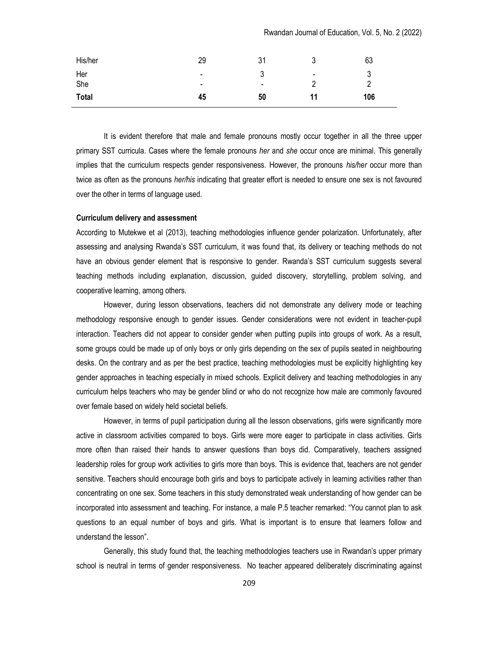Rwandan Journal of Education, Vol. 5, No. 2 (2022)

| His/her      | 29             | 31     | J    | 63  |
|--------------|----------------|--------|------|-----|
| Her          | $\blacksquare$ |        | $\,$ | ັບ  |
| She          | $\blacksquare$ | $\sim$ |      |     |
| <b>Total</b> | 45             | 50     | 11   | 106 |

It is evident therefore that male and female pronouns mostly occur together in all the three upper primary SST curricula. Cases where the female pronouns her and she occur once are minimal. This generally implies that the curriculum respects gender responsiveness. However, the pronouns his/her occur more than twice as often as the pronouns *her/his* indicating that greater effort is needed to ensure one sex is not favoured over the other in terms of language used.

### Curriculum delivery and assessment

According to Mutekwe et al (2013), teaching methodologies influence gender polarization. Unfortunately, after assessing and analysing Rwanda's SST curriculum, it was found that, its delivery or teaching methods do not have an obvious gender element that is responsive to gender. Rwanda's SST curriculum suggests several teaching methods including explanation, discussion, guided discovery, storytelling, problem solving, and cooperative learning, among others.

However, during lesson observations, teachers did not demonstrate any delivery mode or teaching methodology responsive enough to gender issues. Gender considerations were not evident in teacher-pupil interaction. Teachers did not appear to consider gender when putting pupils into groups of work. As a result, some groups could be made up of only boys or only girls depending on the sex of pupils seated in neighbouring desks. On the contrary and as per the best practice, teaching methodologies must be explicitly highlighting key gender approaches in teaching especially in mixed schools. Explicit delivery and teaching methodologies in any curriculum helps teachers who may be gender blind or who do not recognize how male are commonly favoured over female based on widely held societal beliefs.

However, in terms of pupil participation during all the lesson observations, girls were significantly more active in classroom activities compared to boys. Girls were more eager to participate in class activities. Girls more often than raised their hands to answer questions than boys did. Comparatively, teachers assigned leadership roles for group work activities to girls more than boys. This is evidence that, teachers are not gender sensitive. Teachers should encourage both girls and boys to participate actively in learning activities rather than concentrating on one sex. Some teachers in this study demonstrated weak understanding of how gender can be incorporated into assessment and teaching. For instance, a male P.5 teacher remarked: "You cannot plan to ask questions to an equal number of boys and girls. What is important is to ensure that learners follow and understand the lesson".

Generally, this study found that, the teaching methodologies teachers use in Rwandan's upper primary school is neutral in terms of gender responsiveness. No teacher appeared deliberately discriminating against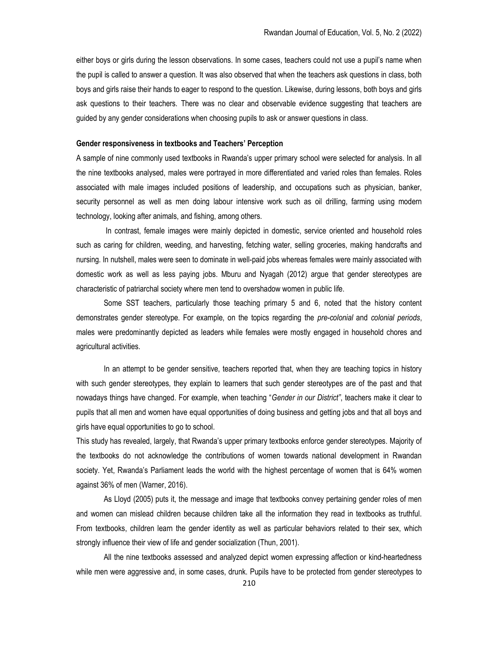either boys or girls during the lesson observations. In some cases, teachers could not use a pupil's name when the pupil is called to answer a question. It was also observed that when the teachers ask questions in class, both boys and girls raise their hands to eager to respond to the question. Likewise, during lessons, both boys and girls ask questions to their teachers. There was no clear and observable evidence suggesting that teachers are guided by any gender considerations when choosing pupils to ask or answer questions in class.

#### Gender responsiveness in textbooks and Teachers' Perception

A sample of nine commonly used textbooks in Rwanda's upper primary school were selected for analysis. In all the nine textbooks analysed, males were portrayed in more differentiated and varied roles than females. Roles associated with male images included positions of leadership, and occupations such as physician, banker, security personnel as well as men doing labour intensive work such as oil drilling, farming using modern technology, looking after animals, and fishing, among others.

 In contrast, female images were mainly depicted in domestic, service oriented and household roles such as caring for children, weeding, and harvesting, fetching water, selling groceries, making handcrafts and nursing. In nutshell, males were seen to dominate in well-paid jobs whereas females were mainly associated with domestic work as well as less paying jobs. Mburu and Nyagah (2012) argue that gender stereotypes are characteristic of patriarchal society where men tend to overshadow women in public life.

Some SST teachers, particularly those teaching primary 5 and 6, noted that the history content demonstrates gender stereotype. For example, on the topics regarding the *pre-colonial* and colonial periods, males were predominantly depicted as leaders while females were mostly engaged in household chores and agricultural activities.

In an attempt to be gender sensitive, teachers reported that, when they are teaching topics in history with such gender stereotypes, they explain to learners that such gender stereotypes are of the past and that nowadays things have changed. For example, when teaching "Gender in our District", teachers make it clear to pupils that all men and women have equal opportunities of doing business and getting jobs and that all boys and girls have equal opportunities to go to school.

This study has revealed, largely, that Rwanda's upper primary textbooks enforce gender stereotypes. Majority of the textbooks do not acknowledge the contributions of women towards national development in Rwandan society. Yet, Rwanda's Parliament leads the world with the highest percentage of women that is 64% women against 36% of men (Warner, 2016).

As Lloyd (2005) puts it, the message and image that textbooks convey pertaining gender roles of men and women can mislead children because children take all the information they read in textbooks as truthful. From textbooks, children learn the gender identity as well as particular behaviors related to their sex, which strongly influence their view of life and gender socialization (Thun, 2001).

All the nine textbooks assessed and analyzed depict women expressing affection or kind-heartedness while men were aggressive and, in some cases, drunk. Pupils have to be protected from gender stereotypes to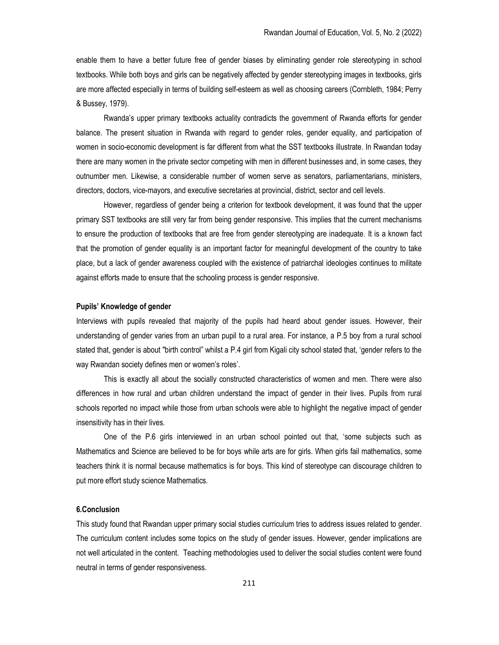enable them to have a better future free of gender biases by eliminating gender role stereotyping in school textbooks. While both boys and girls can be negatively affected by gender stereotyping images in textbooks, girls are more affected especially in terms of building self-esteem as well as choosing careers (Cornbleth, 1984; Perry & Bussey, 1979).

Rwanda's upper primary textbooks actuality contradicts the government of Rwanda efforts for gender balance. The present situation in Rwanda with regard to gender roles, gender equality, and participation of women in socio-economic development is far different from what the SST textbooks illustrate. In Rwandan today there are many women in the private sector competing with men in different businesses and, in some cases, they outnumber men. Likewise, a considerable number of women serve as senators, parliamentarians, ministers, directors, doctors, vice-mayors, and executive secretaries at provincial, district, sector and cell levels.

However, regardless of gender being a criterion for textbook development, it was found that the upper primary SST textbooks are still very far from being gender responsive. This implies that the current mechanisms to ensure the production of textbooks that are free from gender stereotyping are inadequate. It is a known fact that the promotion of gender equality is an important factor for meaningful development of the country to take place, but a lack of gender awareness coupled with the existence of patriarchal ideologies continues to militate against efforts made to ensure that the schooling process is gender responsive.

#### Pupils' Knowledge of gender

Interviews with pupils revealed that majority of the pupils had heard about gender issues. However, their understanding of gender varies from an urban pupil to a rural area. For instance, a P.5 boy from a rural school stated that, gender is about "birth control" whilst a P.4 girl from Kigali city school stated that, 'gender refers to the way Rwandan society defines men or women's roles'.

This is exactly all about the socially constructed characteristics of women and men. There were also differences in how rural and urban children understand the impact of gender in their lives. Pupils from rural schools reported no impact while those from urban schools were able to highlight the negative impact of gender insensitivity has in their lives.

One of the P.6 girls interviewed in an urban school pointed out that, 'some subjects such as Mathematics and Science are believed to be for boys while arts are for girls. When girls fail mathematics, some teachers think it is normal because mathematics is for boys. This kind of stereotype can discourage children to put more effort study science Mathematics.

# 6.Conclusion

This study found that Rwandan upper primary social studies curriculum tries to address issues related to gender. The curriculum content includes some topics on the study of gender issues. However, gender implications are not well articulated in the content. Teaching methodologies used to deliver the social studies content were found neutral in terms of gender responsiveness.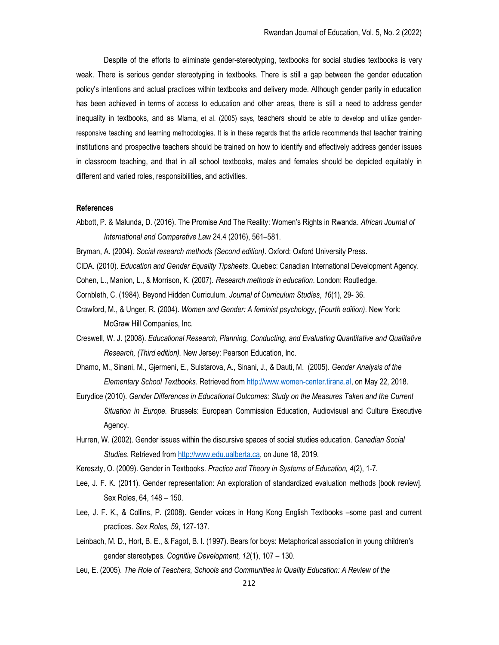Despite of the efforts to eliminate gender-stereotyping, textbooks for social studies textbooks is very weak. There is serious gender stereotyping in textbooks. There is still a gap between the gender education policy's intentions and actual practices within textbooks and delivery mode. Although gender parity in education has been achieved in terms of access to education and other areas, there is still a need to address gender inequality in textbooks, and as Mlama, et al. (2005) says, teachers should be able to develop and utilize genderresponsive teaching and learning methodologies. It is in these regards that ths article recommends that teacher training institutions and prospective teachers should be trained on how to identify and effectively address gender issues in classroom teaching, and that in all school textbooks, males and females should be depicted equitably in different and varied roles, responsibilities, and activities.

#### References

- Abbott, P. & Malunda, D. (2016). The Promise And The Reality: Women's Rights in Rwanda. African Journal of International and Comparative Law 24.4 (2016), 561–581.
- Bryman, A. (2004). Social research methods (Second edition). Oxford: Oxford University Press.
- CIDA. (2010). Education and Gender Equality Tipsheets. Quebec: Canadian International Development Agency.
- Cohen, L., Manion, L., & Morrison, K. (2007). Research methods in education. London: Routledge.
- Cornbleth, C. (1984). Beyond Hidden Curriculum. Journal of Curriculum Studies, 16(1), 29- 36.
- Crawford, M., & Unger, R. (2004). Women and Gender: A feminist psychology, (Fourth edition). New York: McGraw Hill Companies, Inc.
- Creswell, W. J. (2008). Educational Research, Planning, Conducting, and Evaluating Quantitative and Qualitative Research, (Third edition). New Jersey: Pearson Education, Inc.
- Dhamo, M., Sinani, M., Gjermeni, E., Sulstarova, A., Sinani, J., & Dauti, M. (2005). Gender Analysis of the Elementary School Textbooks. Retrieved from http://www.women-center.tirana.al, on May 22, 2018.
- Eurydice (2010). Gender Differences in Educational Outcomes: Study on the Measures Taken and the Current Situation in Europe. Brussels: European Commission Education, Audiovisual and Culture Executive Agency.
- Hurren, W. (2002). Gender issues within the discursive spaces of social studies education. Canadian Social Studies. Retrieved from http://www.edu.ualberta.ca, on June 18, 2019.
- Kereszty, O. (2009). Gender in Textbooks. Practice and Theory in Systems of Education, 4(2), 1-7.
- Lee, J. F. K. (2011). Gender representation: An exploration of standardized evaluation methods [book review]. Sex Roles, 64, 148 – 150.
- Lee, J. F. K., & Collins, P. (2008). Gender voices in Hong Kong English Textbooks –some past and current practices. Sex Roles, 59, 127-137.
- Leinbach, M. D., Hort, B. E., & Fagot, B. I. (1997). Bears for boys: Metaphorical association in young children's gender stereotypes. Cognitive Development, 12(1), 107 – 130.
- Leu, E. (2005). The Role of Teachers, Schools and Communities in Quality Education: A Review of the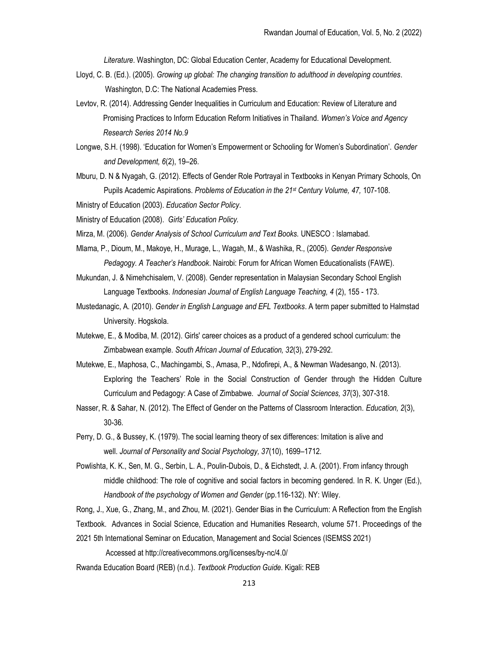Literature. Washington, DC: Global Education Center, Academy for Educational Development.

- Lloyd, C. B. (Ed.). (2005). Growing up global: The changing transition to adulthood in developing countries. Washington, D.C: The National Academies Press.
- Levtov, R. (2014). Addressing Gender Inequalities in Curriculum and Education: Review of Literature and Promising Practices to Inform Education Reform Initiatives in Thailand. Women's Voice and Agency Research Series 2014 No.9
- Longwe, S.H. (1998). 'Education for Women's Empowerment or Schooling for Women's Subordination'. Gender and Development, 6(2), 19–26.
- Mburu, D. N & Nyagah, G. (2012). Effects of Gender Role Portrayal in Textbooks in Kenyan Primary Schools, On Pupils Academic Aspirations. Problems of Education in the 21<sup>st</sup> Century Volume, 47, 107-108.

Ministry of Education (2003). Education Sector Policy.

Ministry of Education (2008). Girls' Education Policy.

Mirza, M. (2006). Gender Analysis of School Curriculum and Text Books. UNESCO : Islamabad.

- Mlama, P., Dioum, M., Makoye, H., Murage, L., Wagah, M., & Washika, R., (2005). Gender Responsive Pedagogy. A Teacher's Handbook. Nairobi: Forum for African Women Educationalists (FAWE).
- Mukundan, J. & Nimehchisalem, V. (2008). Gender representation in Malaysian Secondary School English Language Textbooks. Indonesian Journal of English Language Teaching, 4 (2), 155 - 173.
- Mustedanagic, A. (2010). Gender in English Language and EFL Textbooks. A term paper submitted to Halmstad University. Hogskola.
- Mutekwe, E., & Modiba, M. (2012). Girls' career choices as a product of a gendered school curriculum: the Zimbabwean example. South African Journal of Education, 32(3), 279-292.
- Mutekwe, E., Maphosa, C., Machingambi, S., Amasa, P., Ndofirepi, A., & Newman Wadesango, N. (2013). Exploring the Teachers' Role in the Social Construction of Gender through the Hidden Culture Curriculum and Pedagogy: A Case of Zimbabwe. Journal of Social Sciences, 37(3), 307-318.
- Nasser, R. & Sahar, N. (2012). The Effect of Gender on the Patterns of Classroom Interaction. Education, 2(3), 30-36.
- Perry, D. G., & Bussey, K. (1979). The social learning theory of sex differences: Imitation is alive and well. Journal of Personality and Social Psychology, 37(10), 1699–1712.
- Powlishta, K. K., Sen, M. G., Serbin, L. A., Poulin-Dubois, D., & Eichstedt, J. A. (2001). From infancy through middle childhood: The role of cognitive and social factors in becoming gendered. In R. K. Unger (Ed.), Handbook of the psychology of Women and Gender (pp.116-132). NY: Wiley.

Rong, J., Xue, G., Zhang, M., and Zhou, M. (2021). Gender Bias in the Curriculum: A Reflection from the English Textbook. Advances in Social Science, Education and Humanities Research, volume 571. Proceedings of the

2021 5th International Seminar on Education, Management and Social Sciences (ISEMSS 2021)

Accessed at http://creativecommons.org/licenses/by-nc/4.0/

Rwanda Education Board (REB) (n.d.). Textbook Production Guide. Kigali: REB